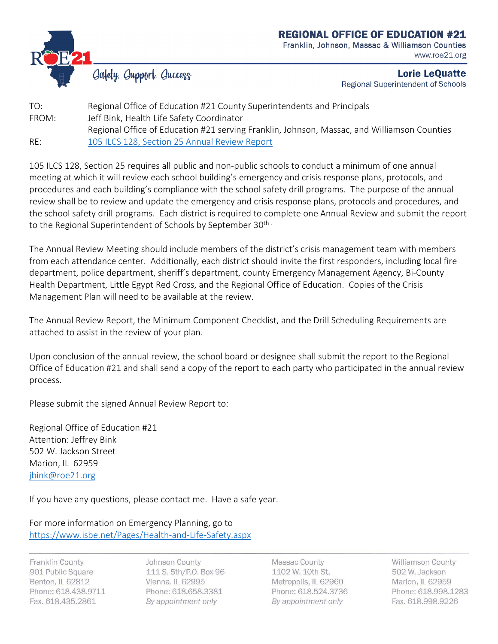

## **REGIONAL OFFICE OF EDUCATION #21**

Franklin, Johnson, Massac & Williamson Counties www.roe21.org

Gafety. Gupport. Guccess

Lorie LeQuatte Regional Superintendent of Schools

TO: Regional Office of Education #21 County Superintendents and Principals FROM: Jeff Bink, Health Life Safety Coordinator Regional Office of Education #21 serving Franklin, Johnson, Massac, and Williamson Counties RE: 105 ILCS 128, Section 25 Annual Review Report

105 ILCS 128, Section 25 requires all public and non-public schools to conduct a minimum of one annual meeting at which it will review each school building's emergency and crisis response plans, protocols, and procedures and each building's compliance with the school safety drill programs. The purpose of the annual review shall be to review and update the emergency and crisis response plans, protocols and procedures, and the school safety drill programs. Each district is required to complete one Annual Review and submit the report to the Regional Superintendent of Schools by September 30<sup>th</sup>

The Annual Review Meeting should include members of the district's crisis management team with members from each attendance center. Additionally, each district should invite the first responders, including local fire department, police department, sheriff's department, county Emergency Management Agency, Bi-County Health Department, Little Egypt Red Cross, and the Regional Office of Education. Copies of the Crisis Management Plan will need to be available at the review.

The Annual Review Report, the Minimum Component Checklist, and the Drill Scheduling Requirements are attached to assist in the review of your plan.

Upon conclusion of the annual review, the school board or designee shall submit the report to the Regional Office of Education #21 and shall send a copy of the report to each party who participated in the annual review process.

Please submit the signed Annual Review Report to:

Regional Office of Education #21 Attention: Jeffrey Bink 502 W. Jackson Street Marion, IL 62959 [jbink@roe21.org](mailto:jbink@roe21.org)

If you have any questions, please contact me. Have a safe year.

For more information on Emergency Planning, go to <https://www.isbe.net/Pages/Health-and-Life-Safety.aspx>

Franklin County 901 Public Square Benton, IL 62812 Phone: 618.438.9711 Fax. 618.435.2861

Johnson County 111 S. 5th/P.O. Box 96 Vienna, IL 62995 Phone: 618.658.3381 By appointment only

Massac County 1102 W. 10th St. Metropolis, IL 62960 Phone: 618.524.3736 By appointment only

Williamson County 502 W. Jackson Marion, IL 62959 Phone: 618.998.1283 Fax. 618.998.9226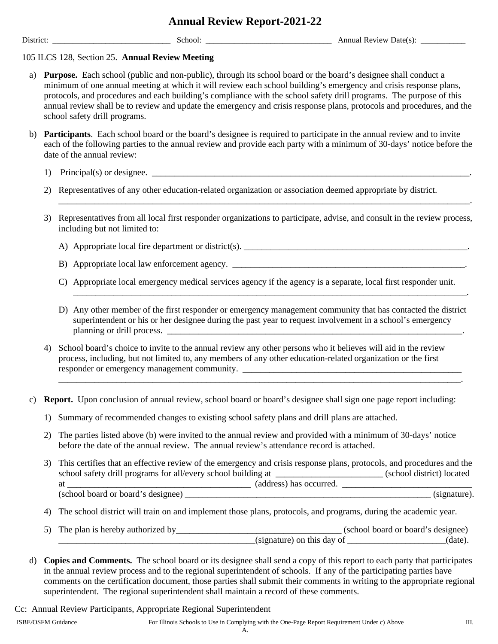## **Annual Review Report-2021-22**

District: School: School: School: Annual Review Date(s):  $\Box$ 

## 105 ILCS 128, Section 25. **Annual Review Meeting**

- a) **Purpose.** Each school (public and non-public), through its school board or the board's designee shall conduct a minimum of one annual meeting at which it will review each school building's emergency and crisis response plans, protocols, and procedures and each building's compliance with the school safety drill programs. The purpose of this annual review shall be to review and update the emergency and crisis response plans, protocols and procedures, and the school safety drill programs.
- b) **Participants**. Each school board or the board's designee is required to participate in the annual review and to invite each of the following parties to the annual review and provide each party with a minimum of 30-days' notice before the date of the annual review:
	- 1) Principal(s) or designee.\_\_\_\_\_\_\_\_\_\_\_\_\_\_\_\_\_\_\_\_\_\_\_\_\_\_\_\_\_\_\_\_\_\_\_\_\_\_\_\_\_\_\_\_\_\_\_\_\_\_\_\_\_\_\_\_\_\_\_\_\_\_\_\_\_\_\_\_\_\_\_.
	- 2) Representatives of any other education-related organization or association deemed appropriate by district.
	- 3) Representatives from all local first responder organizations to participate, advise, and consult in the review process, including but not limited to:

\_\_\_\_\_\_\_\_\_\_\_\_\_\_\_\_\_\_\_\_\_\_\_\_\_\_\_\_\_\_\_\_\_\_\_\_\_\_\_\_\_\_\_\_\_\_\_\_\_\_\_\_\_\_\_\_\_\_\_\_\_\_\_\_\_\_\_\_\_\_\_\_\_\_\_\_\_\_\_\_\_\_\_\_\_\_\_\_\_\_\_\_.

- A) Appropriate local fire department or district(s). \_\_\_\_\_\_\_\_\_\_\_\_\_\_\_\_\_\_\_\_\_\_\_\_\_\_\_
- B) Appropriate local law enforcement agency. **\_\_\_\_\_\_\_\_\_\_\_\_\_\_\_\_\_\_\_\_\_\_\_\_\_\_\_\_\_\_\_\_\_\_**
- C) Appropriate local emergency medical services agency if the agency is a separate, local first responder unit.
- D) Any other member of the first responder or emergency management community that has contacted the district superintendent or his or her designee during the past year to request involvement in a school's emergency planning or drill process. \_\_\_\_\_\_\_\_\_\_\_\_\_\_\_\_\_\_\_\_\_\_\_\_\_\_\_\_\_\_\_\_\_\_\_\_\_\_\_\_\_\_\_\_\_\_\_\_\_\_\_\_\_\_\_\_\_\_\_\_\_\_\_\_\_\_.

\_\_\_\_\_\_\_\_\_\_\_\_\_\_\_\_\_\_\_\_\_\_\_\_\_\_\_\_\_\_\_\_\_\_\_\_\_\_\_\_\_\_\_\_\_\_\_\_\_\_\_\_\_\_\_\_\_\_\_\_\_\_\_\_\_\_\_\_\_\_\_\_\_\_\_\_\_\_\_\_\_\_\_\_\_\_\_\_\_\_.

\_\_\_\_\_\_\_\_\_\_\_\_\_\_\_\_\_\_\_\_\_\_\_\_\_\_\_\_\_\_\_\_\_\_\_\_\_\_\_\_\_\_\_\_\_\_\_\_\_\_\_\_\_\_\_\_\_\_\_\_\_\_\_\_\_\_\_\_\_\_\_\_\_\_\_\_\_\_\_\_\_\_\_\_\_\_\_\_.

- 4) School board's choice to invite to the annual review any other persons who it believes will aid in the review process, including, but not limited to, any members of any other education-related organization or the first responder or emergency management community.
- c) **Report.** Upon conclusion of annual review, school board or board's designee shall sign one page report including:
	- 1)Summary of recommended changes to existing school safety plans and drill plans are attached.
	- 2) The parties listed above (b) were invited to the annual review and provided with a minimum of 30-days' notice before the date of the annual review. The annual review's attendance record is attached.
	- 3) This certifies that an effective review of the emergency and crisis response plans, protocols, and procedures and the school safety drill programs for all/every school building at \_\_\_\_\_\_\_\_\_\_\_\_\_\_\_\_\_\_\_\_\_\_\_\_ (school district) located at \_\_\_\_\_\_\_\_\_\_\_\_\_\_\_\_\_\_\_\_\_\_\_\_\_\_\_\_\_\_\_\_\_\_\_\_\_\_\_\_\_ (address) has occurred. \_\_\_\_\_\_\_\_\_\_\_\_\_\_\_\_\_\_\_\_\_\_\_\_\_\_\_\_\_ (school board or board's designee) \_\_\_\_\_\_\_\_\_\_\_\_\_\_\_\_\_\_\_\_\_\_\_\_\_\_\_\_\_\_\_\_\_\_\_\_\_\_\_\_\_\_\_\_\_\_\_\_\_\_\_\_\_\_\_ (signature).
	- 4) The school district will train on and implement those plans, protocols, and programs, during the academic year.
	- 5) The plan is hereby authorized by\_\_\_\_\_\_\_\_\_\_\_\_\_\_\_\_\_\_\_\_\_\_\_\_\_\_\_\_\_\_\_\_\_\_\_\_\_ (school board or board's designee) \_\_\_\_\_\_\_\_\_\_\_\_\_\_\_\_\_\_\_\_\_\_\_\_\_\_\_\_\_\_\_\_\_\_\_\_\_\_\_\_\_\_\_\_(signature) on this day of \_\_\_\_\_\_\_\_\_\_\_\_\_\_\_\_\_\_\_\_\_\_(date).
- d) **Copies and Comments.** The school board or its designee shall send a copy of this report to each party that participates in the annual review process and to the regional superintendent of schools. If any of the participating parties have comments on the certification document, those parties shall submit their comments in writing to the appropriate regional superintendent. The regional superintendent shall maintain a record of these comments.

Cc: Annual Review Participants, Appropriate Regional Superintendent